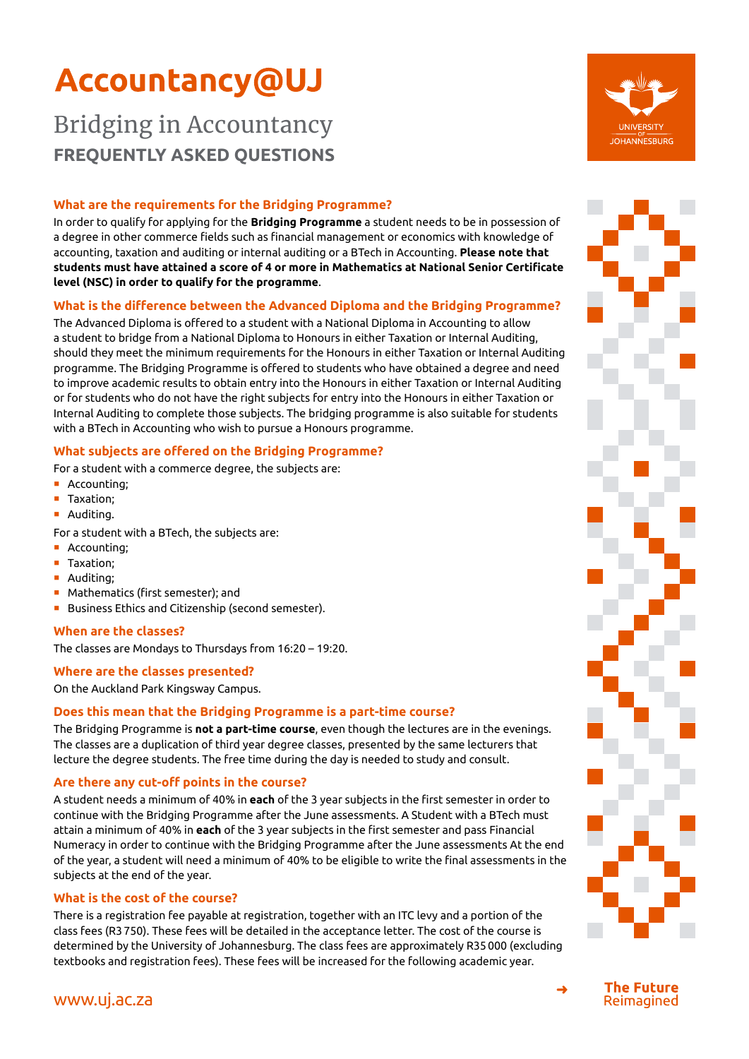# **Accountancy@UJ**

# Bridging in Accountancy **FREQUENTLY ASKED QUESTIONS**

### **What are the requirements for the Bridging Programme?**

In order to qualify for applying for the **Bridging Programme** a student needs to be in possession of a degree in other commerce fields such as financial management or economics with knowledge of accounting, taxation and auditing or internal auditing or a BTech in Accounting. **Please note that students must have attained a score of 4 or more in Mathematics at National Senior Certificate level (NSC) in order to qualify for the programme**.

# **What is the difference between the Advanced Diploma and the Bridging Programme?**

The Advanced Diploma is offered to a student with a National Diploma in Accounting to allow a student to bridge from a National Diploma to Honours in either Taxation or Internal Auditing, should they meet the minimum requirements for the Honours in either Taxation or Internal Auditing programme. The Bridging Programme is offered to students who have obtained a degree and need to improve academic results to obtain entry into the Honours in either Taxation or Internal Auditing or for students who do not have the right subjects for entry into the Honours in either Taxation or Internal Auditing to complete those subjects. The bridging programme is also suitable for students with a BTech in Accounting who wish to pursue a Honours programme.

### **What subjects are offered on the Bridging Programme?**

For a student with a commerce degree, the subjects are:

- **•** Accounting:
- Taxation;
- **•** Auditing.

For a student with a BTech, the subjects are:

- Accounting:
- Taxation:
- **•** Auditing;
- Mathematics (first semester): and
- Business Ethics and Citizenship (second semester).

### **When are the classes?**

The classes are Mondays to Thursdays from 16:20 – 19:20.

### **Where are the classes presented?**

On the Auckland Park Kingsway Campus.

### **Does this mean that the Bridging Programme is a part-time course?**

The Bridging Programme is **not a part-time course**, even though the lectures are in the evenings. The classes are a duplication of third year degree classes, presented by the same lecturers that lecture the degree students. The free time during the day is needed to study and consult.

### **Are there any cut-off points in the course?**

A student needs a minimum of 40% in **each** of the 3 year subjects in the first semester in order to continue with the Bridging Programme after the June assessments. A Student with a BTech must attain a minimum of 40% in **each** of the 3 year subjects in the first semester and pass Financial Numeracy in order to continue with the Bridging Programme after the June assessments At the end of the year, a student will need a minimum of 40% to be eligible to write the final assessments in the subjects at the end of the year.

#### **What is the cost of the course?**

There is a registration fee payable at registration, together with an ITC levy and a portion of the class fees (R3 750). These fees will be detailed in the acceptance letter. The cost of the course is determined by the University of Johannesburg. The class fees are approximately R35 000 (excluding textbooks and registration fees). These fees will be increased for the following academic year.





➜ [www.uj.ac.za](http://www.uj.ac.za/EN/StudyatUJ/StudentEnrolmentCentre/ApplicationProcess/OnlineWebApplication/Pages/home.aspx)



**The Future** Reimagined